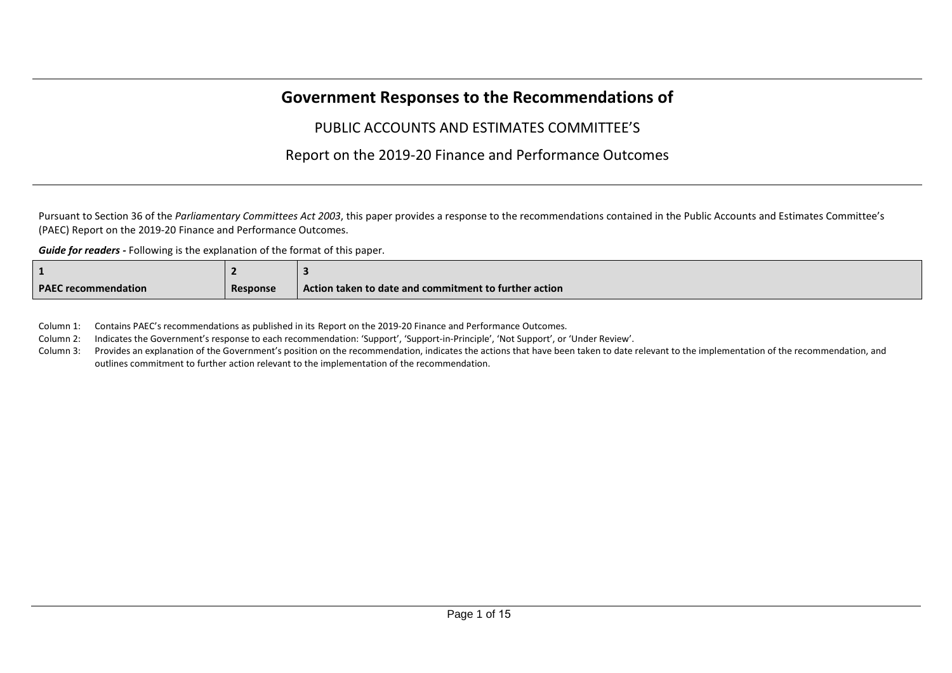## **Government Responses to the Recommendations of**

## PUBLIC ACCOUNTS AND ESTIMATES COMMITTEE'S

## Report on the 2019-20 Finance and Performance Outcomes

Pursuant to Section 36 of the *Parliamentary Committees Act 2003*, this paper provides a response to the recommendations contained in the Public Accounts and Estimates Committee's (PAEC) Report on the 2019-20 Finance and Performance Outcomes.

*Guide for readers -* Following is the explanation of the format of this paper.

| <b>PAEC recommendation</b> | Response | Action taken to date and commitment to further action |
|----------------------------|----------|-------------------------------------------------------|

Column 1: Contains PAEC's recommendations as published in its Report on the 2019-20 Finance and Performance Outcomes.

Column 2: Indicates the Government's response to each recommendation: 'Support', 'Support-in-Principle', 'Not Support', or 'Under Review'.

Column 3: Provides an explanation of the Government's position on the recommendation, indicates the actions that have been taken to date relevant to the implementation of the recommendation, and outlines commitment to further action relevant to the implementation of the recommendation.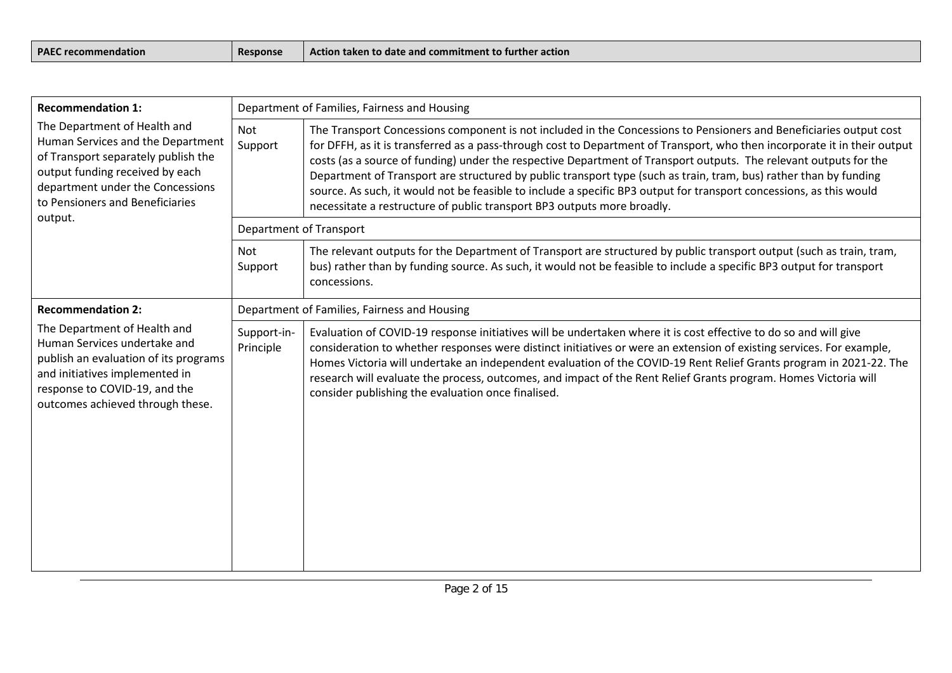| <b>PAEC</b><br>ndation<br><b>Trecon</b> | ™oons⊾ | r <b>action</b><br>vction<br>aken to date :<br>commitment<br>ang :<br>nurune<br>UO) |
|-----------------------------------------|--------|-------------------------------------------------------------------------------------|
|                                         |        |                                                                                     |

| <b>Recommendation 1:</b>                                                                                                                                                                                                      |                                              | Department of Families, Fairness and Housing                                                                                                                                                                                                                                                                                                                                                                                                                                                                                                                                                                                                                                                                                  |  |
|-------------------------------------------------------------------------------------------------------------------------------------------------------------------------------------------------------------------------------|----------------------------------------------|-------------------------------------------------------------------------------------------------------------------------------------------------------------------------------------------------------------------------------------------------------------------------------------------------------------------------------------------------------------------------------------------------------------------------------------------------------------------------------------------------------------------------------------------------------------------------------------------------------------------------------------------------------------------------------------------------------------------------------|--|
| The Department of Health and<br>Human Services and the Department<br>of Transport separately publish the<br>output funding received by each<br>department under the Concessions<br>to Pensioners and Beneficiaries<br>output. | Not<br>Support                               | The Transport Concessions component is not included in the Concessions to Pensioners and Beneficiaries output cost<br>for DFFH, as it is transferred as a pass-through cost to Department of Transport, who then incorporate it in their output<br>costs (as a source of funding) under the respective Department of Transport outputs. The relevant outputs for the<br>Department of Transport are structured by public transport type (such as train, tram, bus) rather than by funding<br>source. As such, it would not be feasible to include a specific BP3 output for transport concessions, as this would<br>necessitate a restructure of public transport BP3 outputs more broadly.<br><b>Department of Transport</b> |  |
|                                                                                                                                                                                                                               |                                              |                                                                                                                                                                                                                                                                                                                                                                                                                                                                                                                                                                                                                                                                                                                               |  |
|                                                                                                                                                                                                                               | Not<br>Support                               | The relevant outputs for the Department of Transport are structured by public transport output (such as train, tram,<br>bus) rather than by funding source. As such, it would not be feasible to include a specific BP3 output for transport<br>concessions.                                                                                                                                                                                                                                                                                                                                                                                                                                                                  |  |
| <b>Recommendation 2:</b>                                                                                                                                                                                                      | Department of Families, Fairness and Housing |                                                                                                                                                                                                                                                                                                                                                                                                                                                                                                                                                                                                                                                                                                                               |  |
| The Department of Health and<br>Human Services undertake and<br>publish an evaluation of its programs<br>and initiatives implemented in<br>response to COVID-19, and the<br>outcomes achieved through these.                  | Support-in-<br>Principle                     | Evaluation of COVID-19 response initiatives will be undertaken where it is cost effective to do so and will give<br>consideration to whether responses were distinct initiatives or were an extension of existing services. For example,<br>Homes Victoria will undertake an independent evaluation of the COVID-19 Rent Relief Grants program in 2021-22. The<br>research will evaluate the process, outcomes, and impact of the Rent Relief Grants program. Homes Victoria will<br>consider publishing the evaluation once finalised.                                                                                                                                                                                       |  |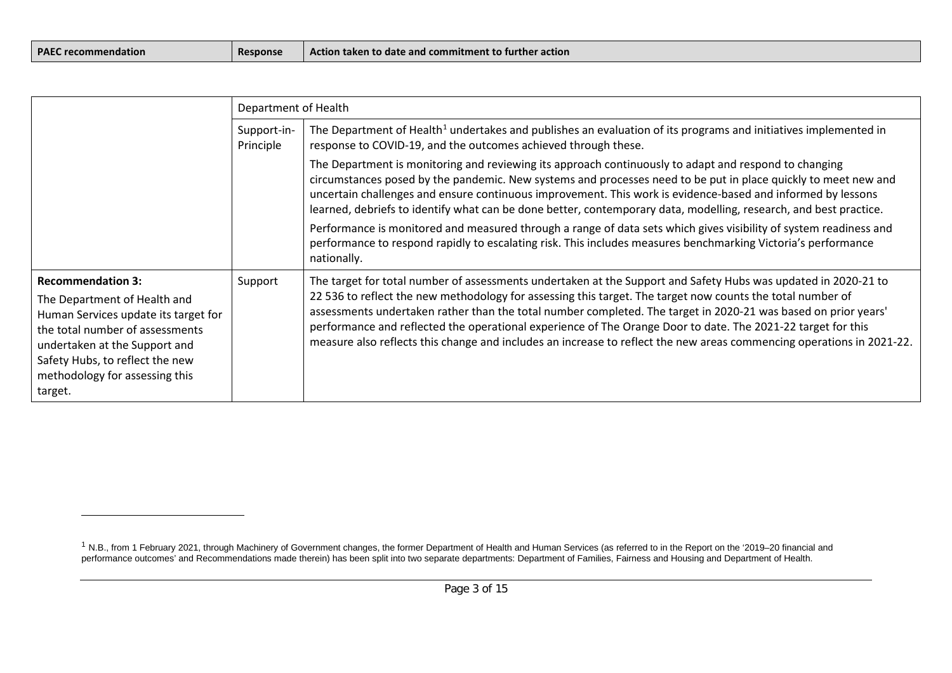| <b>PAEC recommendation</b> |
|----------------------------|
|----------------------------|

<span id="page-2-0"></span>

|                                                                                                                                                                                                                                                      | Department of Health     |                                                                                                                                                                                                                                                                                                                                                                                                                                                                                                                                                                                         |
|------------------------------------------------------------------------------------------------------------------------------------------------------------------------------------------------------------------------------------------------------|--------------------------|-----------------------------------------------------------------------------------------------------------------------------------------------------------------------------------------------------------------------------------------------------------------------------------------------------------------------------------------------------------------------------------------------------------------------------------------------------------------------------------------------------------------------------------------------------------------------------------------|
|                                                                                                                                                                                                                                                      | Support-in-<br>Principle | The Department of Health <sup>1</sup> undertakes and publishes an evaluation of its programs and initiatives implemented in<br>response to COVID-19, and the outcomes achieved through these.                                                                                                                                                                                                                                                                                                                                                                                           |
|                                                                                                                                                                                                                                                      |                          | The Department is monitoring and reviewing its approach continuously to adapt and respond to changing<br>circumstances posed by the pandemic. New systems and processes need to be put in place quickly to meet new and<br>uncertain challenges and ensure continuous improvement. This work is evidence-based and informed by lessons<br>learned, debriefs to identify what can be done better, contemporary data, modelling, research, and best practice.                                                                                                                             |
|                                                                                                                                                                                                                                                      |                          | Performance is monitored and measured through a range of data sets which gives visibility of system readiness and<br>performance to respond rapidly to escalating risk. This includes measures benchmarking Victoria's performance<br>nationally.                                                                                                                                                                                                                                                                                                                                       |
| <b>Recommendation 3:</b><br>The Department of Health and<br>Human Services update its target for<br>the total number of assessments<br>undertaken at the Support and<br>Safety Hubs, to reflect the new<br>methodology for assessing this<br>target. | Support                  | The target for total number of assessments undertaken at the Support and Safety Hubs was updated in 2020-21 to<br>22 536 to reflect the new methodology for assessing this target. The target now counts the total number of<br>assessments undertaken rather than the total number completed. The target in 2020-21 was based on prior years'<br>performance and reflected the operational experience of The Orange Door to date. The 2021-22 target for this<br>measure also reflects this change and includes an increase to reflect the new areas commencing operations in 2021-22. |

<sup>&</sup>lt;sup>1</sup> N.B., from 1 February 2021, through Machinery of Government changes, the former Department of Health and Human Services (as referred to in the Report on the '2019–20 financial and performance outcomes' and Recommendations made therein) has been split into two separate departments: Department of Families, Fairness and Housing and Department of Health.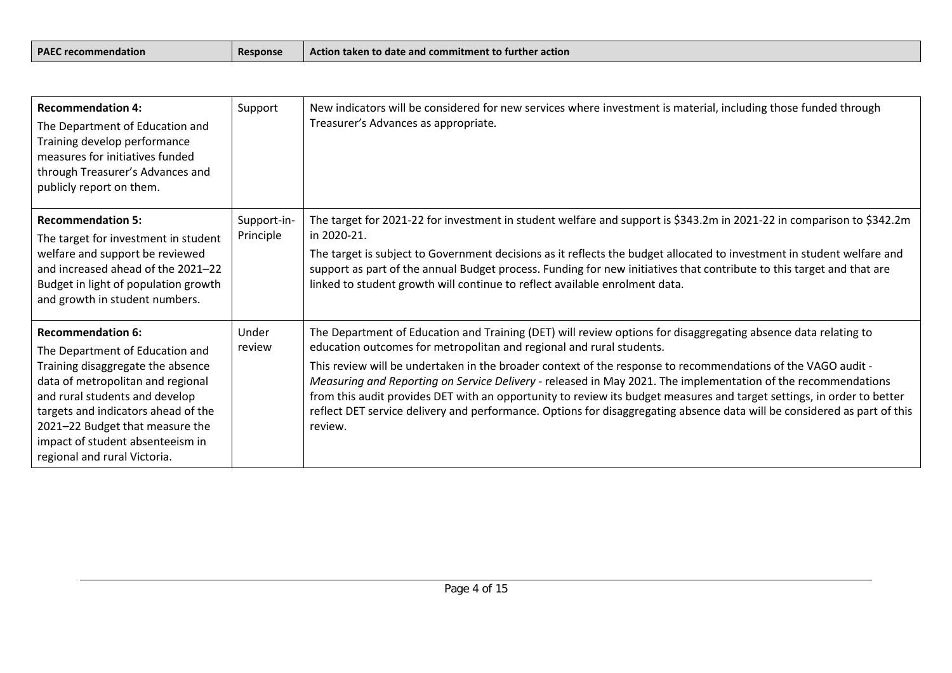| <b>PAEC</b><br>l Action taken to date and commitment to further action<br>Response<br>recommendation |  |
|------------------------------------------------------------------------------------------------------|--|
|------------------------------------------------------------------------------------------------------|--|

| <b>Recommendation 4:</b><br>The Department of Education and<br>Training develop performance<br>measures for initiatives funded<br>through Treasurer's Advances and<br>publicly report on them.                                                                                                                        | Support                  | New indicators will be considered for new services where investment is material, including those funded through<br>Treasurer's Advances as appropriate.                                                                                                                                                                                                                                                                                                                                                                                                                                                                                                                                  |
|-----------------------------------------------------------------------------------------------------------------------------------------------------------------------------------------------------------------------------------------------------------------------------------------------------------------------|--------------------------|------------------------------------------------------------------------------------------------------------------------------------------------------------------------------------------------------------------------------------------------------------------------------------------------------------------------------------------------------------------------------------------------------------------------------------------------------------------------------------------------------------------------------------------------------------------------------------------------------------------------------------------------------------------------------------------|
| <b>Recommendation 5:</b><br>The target for investment in student<br>welfare and support be reviewed<br>and increased ahead of the 2021-22<br>Budget in light of population growth<br>and growth in student numbers.                                                                                                   | Support-in-<br>Principle | The target for 2021-22 for investment in student welfare and support is \$343.2m in 2021-22 in comparison to \$342.2m<br>in 2020-21.<br>The target is subject to Government decisions as it reflects the budget allocated to investment in student welfare and<br>support as part of the annual Budget process. Funding for new initiatives that contribute to this target and that are<br>linked to student growth will continue to reflect available enrolment data.                                                                                                                                                                                                                   |
| <b>Recommendation 6:</b><br>The Department of Education and<br>Training disaggregate the absence<br>data of metropolitan and regional<br>and rural students and develop<br>targets and indicators ahead of the<br>2021-22 Budget that measure the<br>impact of student absenteeism in<br>regional and rural Victoria. | Under<br>review          | The Department of Education and Training (DET) will review options for disaggregating absence data relating to<br>education outcomes for metropolitan and regional and rural students.<br>This review will be undertaken in the broader context of the response to recommendations of the VAGO audit -<br>Measuring and Reporting on Service Delivery - released in May 2021. The implementation of the recommendations<br>from this audit provides DET with an opportunity to review its budget measures and target settings, in order to better<br>reflect DET service delivery and performance. Options for disaggregating absence data will be considered as part of this<br>review. |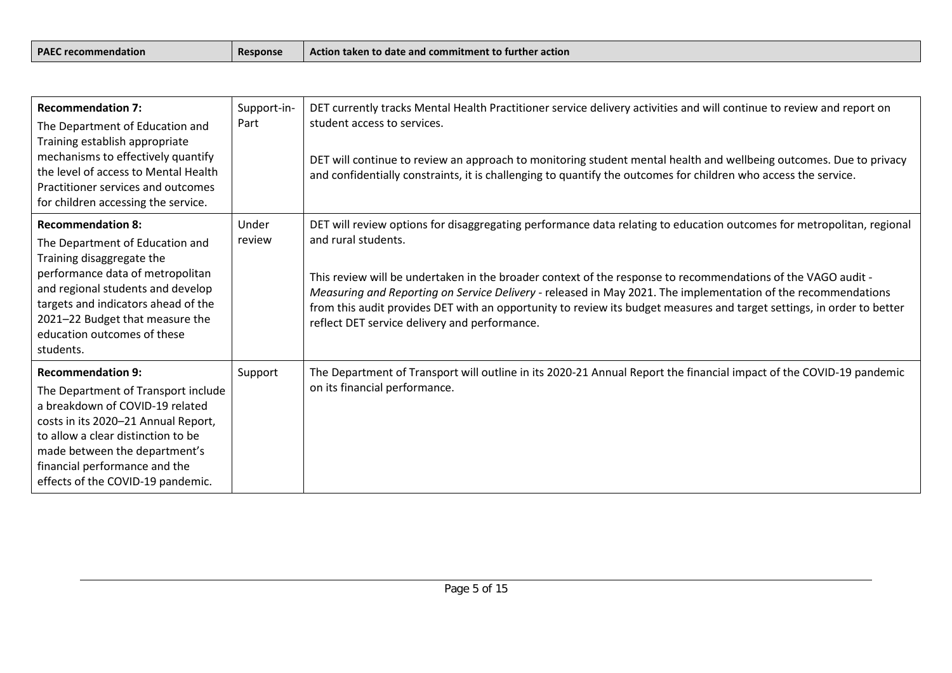| <b>PAEC</b><br><b>Response</b><br>$\bar{\ }$ recommendation $\bar{\ }$ | Action taken to date and commitment to further action_ |
|------------------------------------------------------------------------|--------------------------------------------------------|
|------------------------------------------------------------------------|--------------------------------------------------------|

| <b>Recommendation 7:</b><br>The Department of Education and<br>Training establish appropriate<br>mechanisms to effectively quantify<br>the level of access to Mental Health<br>Practitioner services and outcomes<br>for children accessing the service.                                | Support-in-<br>Part | DET currently tracks Mental Health Practitioner service delivery activities and will continue to review and report on<br>student access to services.<br>DET will continue to review an approach to monitoring student mental health and wellbeing outcomes. Due to privacy<br>and confidentially constraints, it is challenging to quantify the outcomes for children who access the service.                                                                                                                                                            |
|-----------------------------------------------------------------------------------------------------------------------------------------------------------------------------------------------------------------------------------------------------------------------------------------|---------------------|----------------------------------------------------------------------------------------------------------------------------------------------------------------------------------------------------------------------------------------------------------------------------------------------------------------------------------------------------------------------------------------------------------------------------------------------------------------------------------------------------------------------------------------------------------|
| <b>Recommendation 8:</b><br>The Department of Education and<br>Training disaggregate the<br>performance data of metropolitan<br>and regional students and develop<br>targets and indicators ahead of the<br>2021-22 Budget that measure the<br>education outcomes of these<br>students. | Under<br>review     | DET will review options for disaggregating performance data relating to education outcomes for metropolitan, regional<br>and rural students.<br>This review will be undertaken in the broader context of the response to recommendations of the VAGO audit -<br>Measuring and Reporting on Service Delivery - released in May 2021. The implementation of the recommendations<br>from this audit provides DET with an opportunity to review its budget measures and target settings, in order to better<br>reflect DET service delivery and performance. |
| <b>Recommendation 9:</b><br>The Department of Transport include<br>a breakdown of COVID-19 related<br>costs in its 2020-21 Annual Report,<br>to allow a clear distinction to be<br>made between the department's<br>financial performance and the<br>effects of the COVID-19 pandemic.  | Support             | The Department of Transport will outline in its 2020-21 Annual Report the financial impact of the COVID-19 pandemic<br>on its financial performance.                                                                                                                                                                                                                                                                                                                                                                                                     |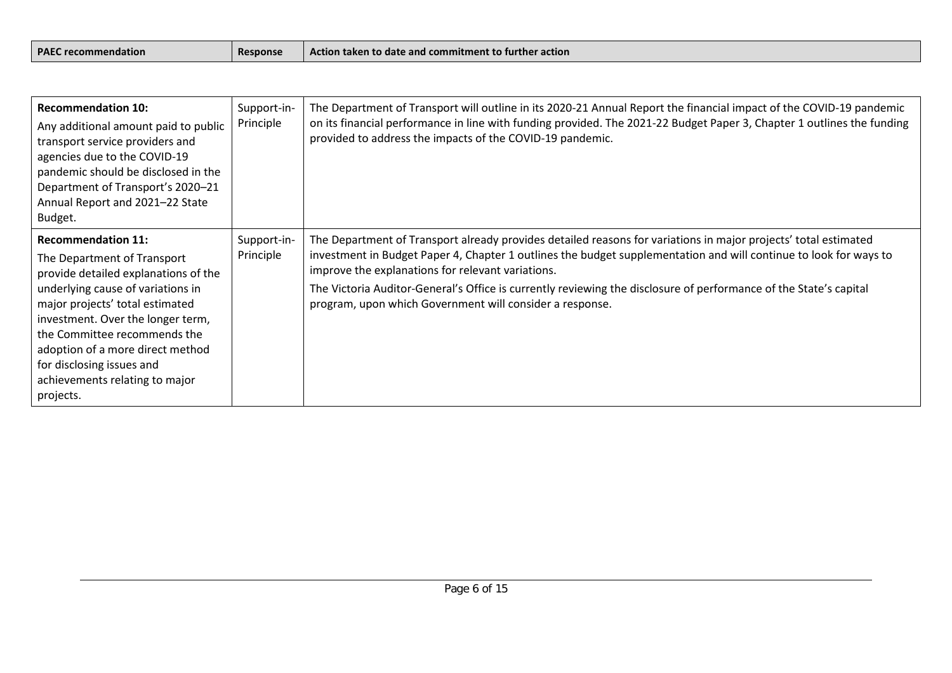| <b>PAEC recommendation</b><br>Response |  | Action taken to date and commitment to further action |
|----------------------------------------|--|-------------------------------------------------------|
|----------------------------------------|--|-------------------------------------------------------|

| <b>Recommendation 10:</b><br>Any additional amount paid to public<br>transport service providers and<br>agencies due to the COVID-19<br>pandemic should be disclosed in the<br>Department of Transport's 2020-21<br>Annual Report and 2021-22 State<br>Budget.                                                                                                | Support-in-<br>Principle | The Department of Transport will outline in its 2020-21 Annual Report the financial impact of the COVID-19 pandemic<br>on its financial performance in line with funding provided. The 2021-22 Budget Paper 3, Chapter 1 outlines the funding<br>provided to address the impacts of the COVID-19 pandemic.                                                                                                                                                                 |
|---------------------------------------------------------------------------------------------------------------------------------------------------------------------------------------------------------------------------------------------------------------------------------------------------------------------------------------------------------------|--------------------------|----------------------------------------------------------------------------------------------------------------------------------------------------------------------------------------------------------------------------------------------------------------------------------------------------------------------------------------------------------------------------------------------------------------------------------------------------------------------------|
| <b>Recommendation 11:</b><br>The Department of Transport<br>provide detailed explanations of the<br>underlying cause of variations in<br>major projects' total estimated<br>investment. Over the longer term,<br>the Committee recommends the<br>adoption of a more direct method<br>for disclosing issues and<br>achievements relating to major<br>projects. | Support-in-<br>Principle | The Department of Transport already provides detailed reasons for variations in major projects' total estimated<br>investment in Budget Paper 4, Chapter 1 outlines the budget supplementation and will continue to look for ways to<br>improve the explanations for relevant variations.<br>The Victoria Auditor-General's Office is currently reviewing the disclosure of performance of the State's capital<br>program, upon which Government will consider a response. |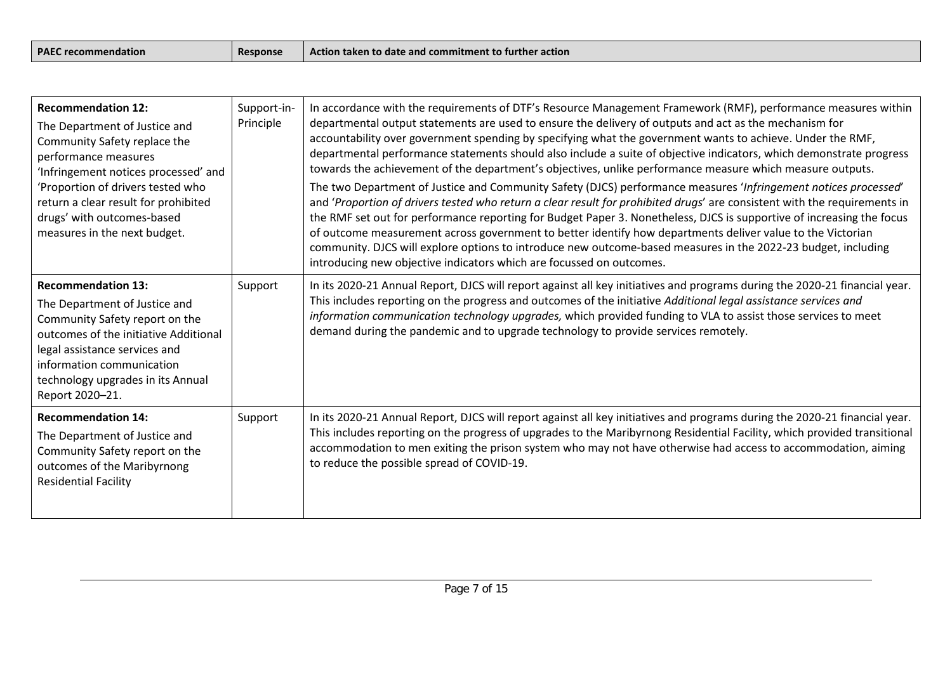| <b>PAEC recommendation</b><br>Action taken to date and commitment to further action<br><b>Response</b> |  |
|--------------------------------------------------------------------------------------------------------|--|
|--------------------------------------------------------------------------------------------------------|--|

| <b>Recommendation 12:</b><br>The Department of Justice and<br>Community Safety replace the<br>performance measures<br>'Infringement notices processed' and<br>'Proportion of drivers tested who<br>return a clear result for prohibited<br>drugs' with outcomes-based<br>measures in the next budget. | Support-in-<br>Principle | In accordance with the requirements of DTF's Resource Management Framework (RMF), performance measures within<br>departmental output statements are used to ensure the delivery of outputs and act as the mechanism for<br>accountability over government spending by specifying what the government wants to achieve. Under the RMF,<br>departmental performance statements should also include a suite of objective indicators, which demonstrate progress<br>towards the achievement of the department's objectives, unlike performance measure which measure outputs.<br>The two Department of Justice and Community Safety (DJCS) performance measures 'Infringement notices processed'<br>and 'Proportion of drivers tested who return a clear result for prohibited drugs' are consistent with the requirements in<br>the RMF set out for performance reporting for Budget Paper 3. Nonetheless, DJCS is supportive of increasing the focus<br>of outcome measurement across government to better identify how departments deliver value to the Victorian<br>community. DJCS will explore options to introduce new outcome-based measures in the 2022-23 budget, including<br>introducing new objective indicators which are focussed on outcomes. |
|-------------------------------------------------------------------------------------------------------------------------------------------------------------------------------------------------------------------------------------------------------------------------------------------------------|--------------------------|-----------------------------------------------------------------------------------------------------------------------------------------------------------------------------------------------------------------------------------------------------------------------------------------------------------------------------------------------------------------------------------------------------------------------------------------------------------------------------------------------------------------------------------------------------------------------------------------------------------------------------------------------------------------------------------------------------------------------------------------------------------------------------------------------------------------------------------------------------------------------------------------------------------------------------------------------------------------------------------------------------------------------------------------------------------------------------------------------------------------------------------------------------------------------------------------------------------------------------------------------------------|
| <b>Recommendation 13:</b><br>The Department of Justice and<br>Community Safety report on the<br>outcomes of the initiative Additional<br>legal assistance services and<br>information communication<br>technology upgrades in its Annual<br>Report 2020-21.                                           | Support                  | In its 2020-21 Annual Report, DJCS will report against all key initiatives and programs during the 2020-21 financial year.<br>This includes reporting on the progress and outcomes of the initiative Additional legal assistance services and<br>information communication technology upgrades, which provided funding to VLA to assist those services to meet<br>demand during the pandemic and to upgrade technology to provide services remotely.                                                                                                                                                                                                                                                                                                                                                                                                                                                                                                                                                                                                                                                                                                                                                                                                      |
| <b>Recommendation 14:</b><br>The Department of Justice and<br>Community Safety report on the<br>outcomes of the Maribyrnong<br><b>Residential Facility</b>                                                                                                                                            | Support                  | In its 2020-21 Annual Report, DJCS will report against all key initiatives and programs during the 2020-21 financial year.<br>This includes reporting on the progress of upgrades to the Maribyrnong Residential Facility, which provided transitional<br>accommodation to men exiting the prison system who may not have otherwise had access to accommodation, aiming<br>to reduce the possible spread of COVID-19.                                                                                                                                                                                                                                                                                                                                                                                                                                                                                                                                                                                                                                                                                                                                                                                                                                     |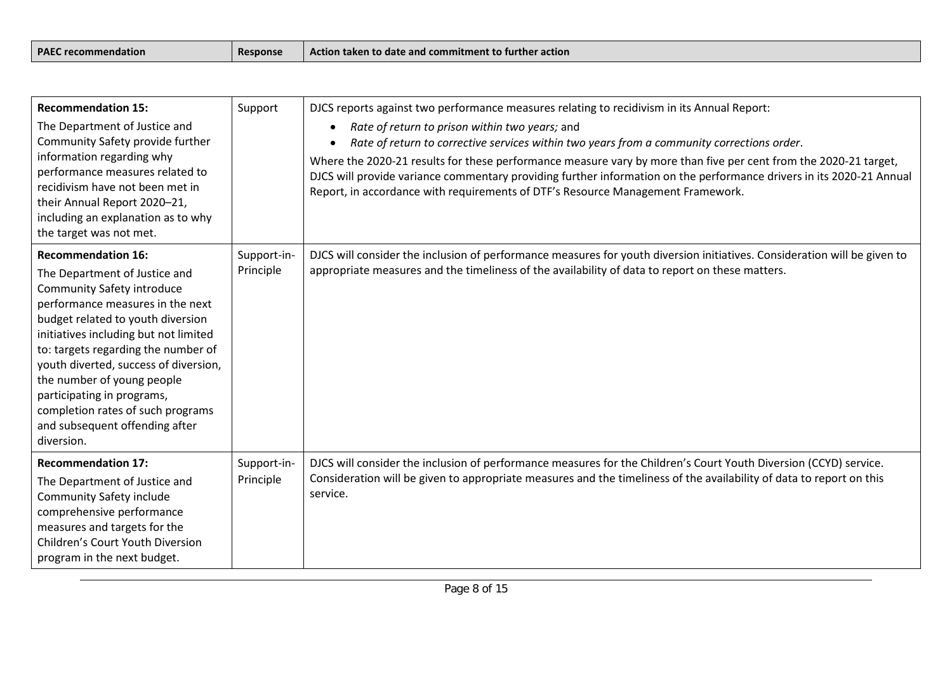| PAFC<br><b>Trecommendation</b> | <b>Response</b> | Action taken to date and commitment to further action |
|--------------------------------|-----------------|-------------------------------------------------------|
|--------------------------------|-----------------|-------------------------------------------------------|

| <b>Recommendation 15:</b><br>The Department of Justice and<br>Community Safety provide further<br>information regarding why<br>performance measures related to<br>recidivism have not been met in                                                                                                                                                                                                                                                  | Support                  | DJCS reports against two performance measures relating to recidivism in its Annual Report:<br>Rate of return to prison within two years; and<br>$\bullet$<br>Rate of return to corrective services within two years from a community corrections order.<br>Where the 2020-21 results for these performance measure vary by more than five per cent from the 2020-21 target,<br>DJCS will provide variance commentary providing further information on the performance drivers in its 2020-21 Annual<br>Report, in accordance with requirements of DTF's Resource Management Framework. |
|----------------------------------------------------------------------------------------------------------------------------------------------------------------------------------------------------------------------------------------------------------------------------------------------------------------------------------------------------------------------------------------------------------------------------------------------------|--------------------------|----------------------------------------------------------------------------------------------------------------------------------------------------------------------------------------------------------------------------------------------------------------------------------------------------------------------------------------------------------------------------------------------------------------------------------------------------------------------------------------------------------------------------------------------------------------------------------------|
| their Annual Report 2020-21,<br>including an explanation as to why<br>the target was not met.                                                                                                                                                                                                                                                                                                                                                      |                          |                                                                                                                                                                                                                                                                                                                                                                                                                                                                                                                                                                                        |
| <b>Recommendation 16:</b><br>The Department of Justice and<br><b>Community Safety introduce</b><br>performance measures in the next<br>budget related to youth diversion<br>initiatives including but not limited<br>to: targets regarding the number of<br>youth diverted, success of diversion,<br>the number of young people<br>participating in programs,<br>completion rates of such programs<br>and subsequent offending after<br>diversion. | Support-in-<br>Principle | DJCS will consider the inclusion of performance measures for youth diversion initiatives. Consideration will be given to<br>appropriate measures and the timeliness of the availability of data to report on these matters.                                                                                                                                                                                                                                                                                                                                                            |
| <b>Recommendation 17:</b><br>The Department of Justice and<br>Community Safety include<br>comprehensive performance<br>measures and targets for the<br>Children's Court Youth Diversion<br>program in the next budget.                                                                                                                                                                                                                             | Support-in-<br>Principle | DJCS will consider the inclusion of performance measures for the Children's Court Youth Diversion (CCYD) service.<br>Consideration will be given to appropriate measures and the timeliness of the availability of data to report on this<br>service.                                                                                                                                                                                                                                                                                                                                  |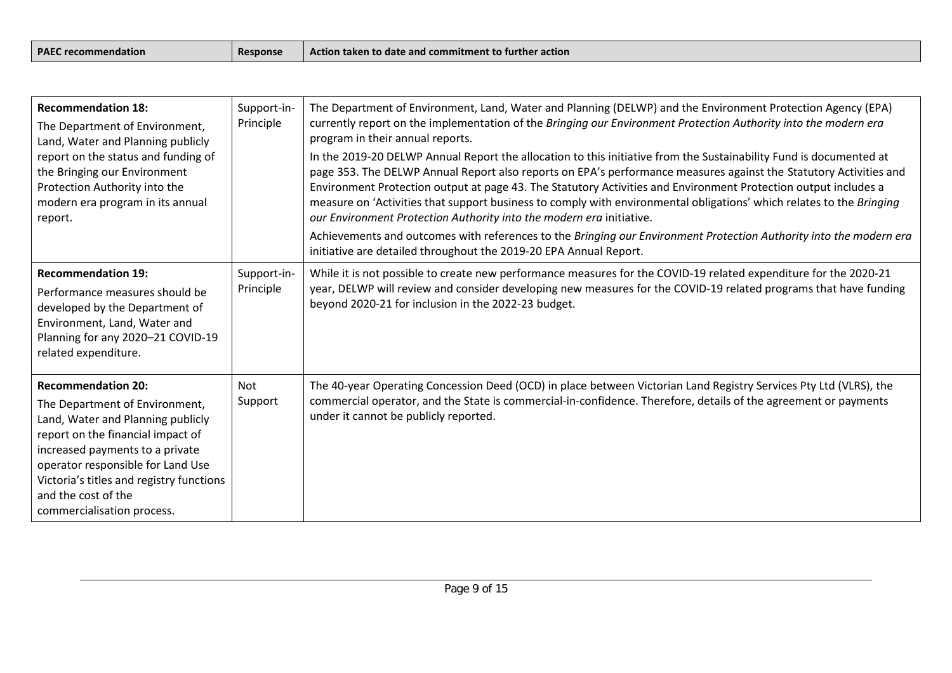| <b>PAEC</b><br>Response<br>recommendation | - -<br>l Action taken to date and commitment to further action |
|-------------------------------------------|----------------------------------------------------------------|
|-------------------------------------------|----------------------------------------------------------------|

| <b>Recommendation 18:</b><br>The Department of Environment,<br>Land, Water and Planning publicly<br>report on the status and funding of<br>the Bringing our Environment<br>Protection Authority into the<br>modern era program in its annual<br>report.                                                        | Support-in-<br>Principle | The Department of Environment, Land, Water and Planning (DELWP) and the Environment Protection Agency (EPA)<br>currently report on the implementation of the Bringing our Environment Protection Authority into the modern era<br>program in their annual reports.<br>In the 2019-20 DELWP Annual Report the allocation to this initiative from the Sustainability Fund is documented at<br>page 353. The DELWP Annual Report also reports on EPA's performance measures against the Statutory Activities and<br>Environment Protection output at page 43. The Statutory Activities and Environment Protection output includes a<br>measure on 'Activities that support business to comply with environmental obligations' which relates to the Bringing<br>our Environment Protection Authority into the modern era initiative.<br>Achievements and outcomes with references to the Bringing our Environment Protection Authority into the modern era<br>initiative are detailed throughout the 2019-20 EPA Annual Report. |
|----------------------------------------------------------------------------------------------------------------------------------------------------------------------------------------------------------------------------------------------------------------------------------------------------------------|--------------------------|-----------------------------------------------------------------------------------------------------------------------------------------------------------------------------------------------------------------------------------------------------------------------------------------------------------------------------------------------------------------------------------------------------------------------------------------------------------------------------------------------------------------------------------------------------------------------------------------------------------------------------------------------------------------------------------------------------------------------------------------------------------------------------------------------------------------------------------------------------------------------------------------------------------------------------------------------------------------------------------------------------------------------------|
| <b>Recommendation 19:</b><br>Performance measures should be<br>developed by the Department of<br>Environment, Land, Water and<br>Planning for any 2020-21 COVID-19<br>related expenditure.                                                                                                                     | Support-in-<br>Principle | While it is not possible to create new performance measures for the COVID-19 related expenditure for the 2020-21<br>year, DELWP will review and consider developing new measures for the COVID-19 related programs that have funding<br>beyond 2020-21 for inclusion in the 2022-23 budget.                                                                                                                                                                                                                                                                                                                                                                                                                                                                                                                                                                                                                                                                                                                                 |
| <b>Recommendation 20:</b><br>The Department of Environment,<br>Land, Water and Planning publicly<br>report on the financial impact of<br>increased payments to a private<br>operator responsible for Land Use<br>Victoria's titles and registry functions<br>and the cost of the<br>commercialisation process. | <b>Not</b><br>Support    | The 40-year Operating Concession Deed (OCD) in place between Victorian Land Registry Services Pty Ltd (VLRS), the<br>commercial operator, and the State is commercial-in-confidence. Therefore, details of the agreement or payments<br>under it cannot be publicly reported.                                                                                                                                                                                                                                                                                                                                                                                                                                                                                                                                                                                                                                                                                                                                               |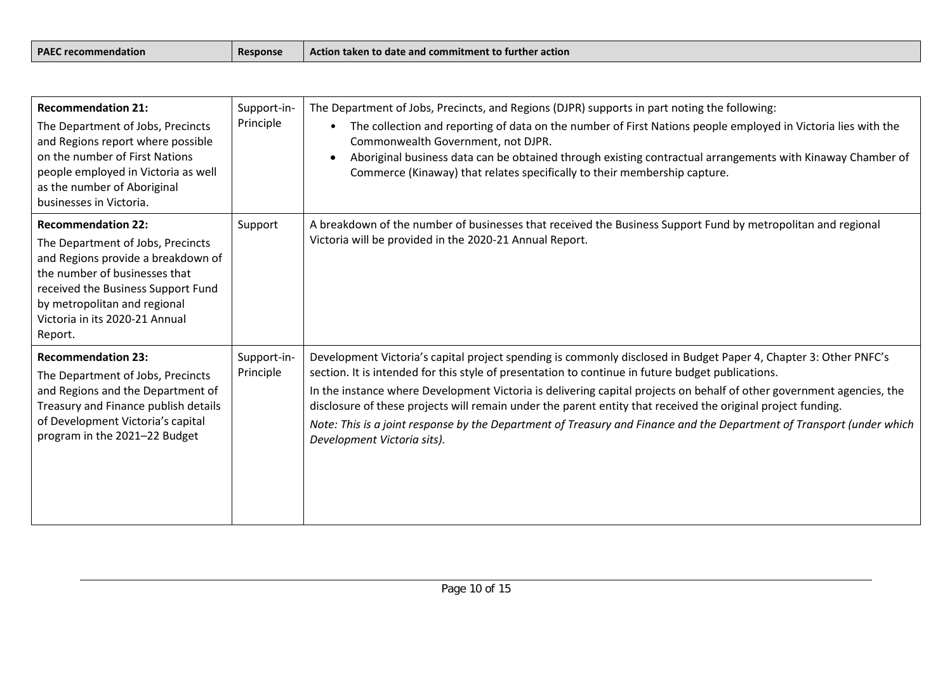| <b>PAEC</b><br>Response<br>recommendation : | .<br>l Action taken to date and commitment to further action |
|---------------------------------------------|--------------------------------------------------------------|
|---------------------------------------------|--------------------------------------------------------------|

| <b>Recommendation 21:</b><br>The Department of Jobs, Precincts<br>and Regions report where possible<br>on the number of First Nations<br>people employed in Victoria as well<br>as the number of Aboriginal<br>businesses in Victoria.                   | Support-in-<br>Principle | The Department of Jobs, Precincts, and Regions (DJPR) supports in part noting the following:<br>The collection and reporting of data on the number of First Nations people employed in Victoria lies with the<br>Commonwealth Government, not DJPR.<br>Aboriginal business data can be obtained through existing contractual arrangements with Kinaway Chamber of<br>Commerce (Kinaway) that relates specifically to their membership capture.                                                                                                                                                                         |
|----------------------------------------------------------------------------------------------------------------------------------------------------------------------------------------------------------------------------------------------------------|--------------------------|------------------------------------------------------------------------------------------------------------------------------------------------------------------------------------------------------------------------------------------------------------------------------------------------------------------------------------------------------------------------------------------------------------------------------------------------------------------------------------------------------------------------------------------------------------------------------------------------------------------------|
| <b>Recommendation 22:</b><br>The Department of Jobs, Precincts<br>and Regions provide a breakdown of<br>the number of businesses that<br>received the Business Support Fund<br>by metropolitan and regional<br>Victoria in its 2020-21 Annual<br>Report. | Support                  | A breakdown of the number of businesses that received the Business Support Fund by metropolitan and regional<br>Victoria will be provided in the 2020-21 Annual Report.                                                                                                                                                                                                                                                                                                                                                                                                                                                |
| <b>Recommendation 23:</b><br>The Department of Jobs, Precincts<br>and Regions and the Department of<br>Treasury and Finance publish details<br>of Development Victoria's capital<br>program in the 2021-22 Budget                                        | Support-in-<br>Principle | Development Victoria's capital project spending is commonly disclosed in Budget Paper 4, Chapter 3: Other PNFC's<br>section. It is intended for this style of presentation to continue in future budget publications.<br>In the instance where Development Victoria is delivering capital projects on behalf of other government agencies, the<br>disclosure of these projects will remain under the parent entity that received the original project funding.<br>Note: This is a joint response by the Department of Treasury and Finance and the Department of Transport (under which<br>Development Victoria sits). |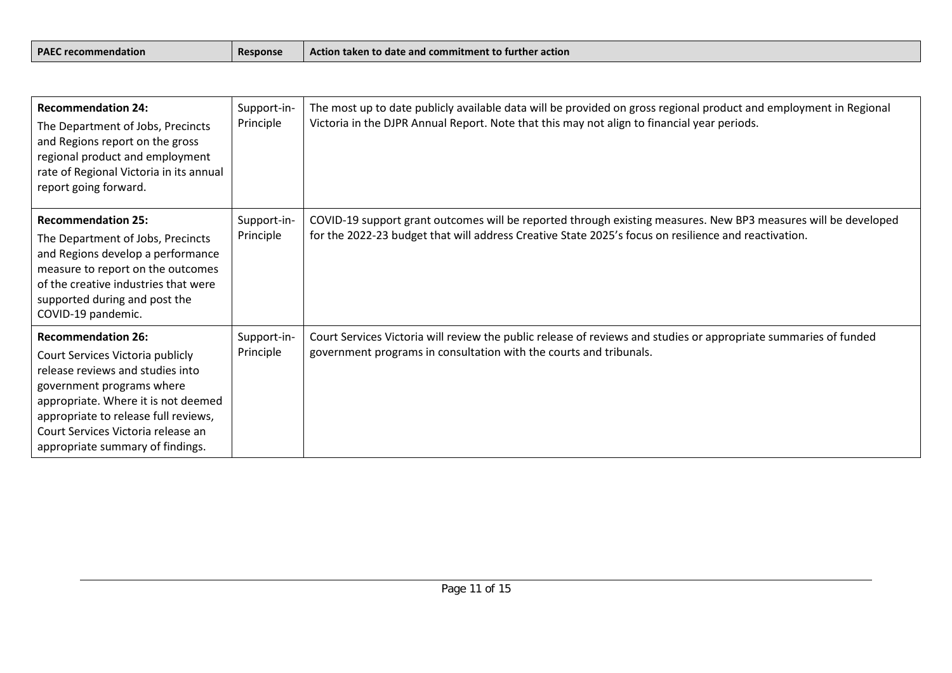| <b>PAEC</b><br><b>Response</b><br>$\lceil$ recommendation $\lceil$ | $\,$ Action taken to date and commitment to further action $\,$ |
|--------------------------------------------------------------------|-----------------------------------------------------------------|
|--------------------------------------------------------------------|-----------------------------------------------------------------|

| <b>Recommendation 24:</b><br>The Department of Jobs, Precincts<br>and Regions report on the gross<br>regional product and employment<br>rate of Regional Victoria in its annual<br>report going forward.                                                                                | Support-in-<br>Principle | The most up to date publicly available data will be provided on gross regional product and employment in Regional<br>Victoria in the DJPR Annual Report. Note that this may not align to financial year periods.       |
|-----------------------------------------------------------------------------------------------------------------------------------------------------------------------------------------------------------------------------------------------------------------------------------------|--------------------------|------------------------------------------------------------------------------------------------------------------------------------------------------------------------------------------------------------------------|
| <b>Recommendation 25:</b><br>The Department of Jobs, Precincts<br>and Regions develop a performance<br>measure to report on the outcomes<br>of the creative industries that were<br>supported during and post the<br>COVID-19 pandemic.                                                 | Support-in-<br>Principle | COVID-19 support grant outcomes will be reported through existing measures. New BP3 measures will be developed<br>for the 2022-23 budget that will address Creative State 2025's focus on resilience and reactivation. |
| <b>Recommendation 26:</b><br>Court Services Victoria publicly<br>release reviews and studies into<br>government programs where<br>appropriate. Where it is not deemed<br>appropriate to release full reviews,<br>Court Services Victoria release an<br>appropriate summary of findings. | Support-in-<br>Principle | Court Services Victoria will review the public release of reviews and studies or appropriate summaries of funded<br>government programs in consultation with the courts and tribunals.                                 |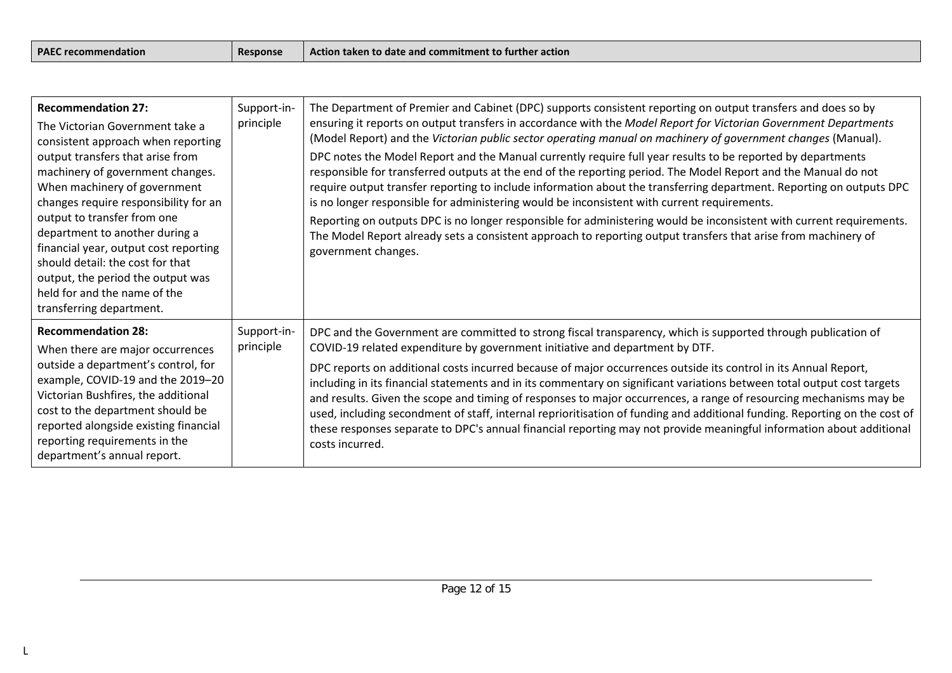| <b>PAEC recommendation</b> |  |
|----------------------------|--|
|----------------------------|--|

| <b>Recommendation 27:</b><br>The Victorian Government take a<br>consistent approach when reporting<br>output transfers that arise from<br>machinery of government changes.<br>When machinery of government<br>changes require responsibility for an<br>output to transfer from one<br>department to another during a<br>financial year, output cost reporting<br>should detail: the cost for that<br>output, the period the output was<br>held for and the name of the<br>transferring department. | Support-in-<br>principle | The Department of Premier and Cabinet (DPC) supports consistent reporting on output transfers and does so by<br>ensuring it reports on output transfers in accordance with the Model Report for Victorian Government Departments<br>(Model Report) and the Victorian public sector operating manual on machinery of government changes (Manual).<br>DPC notes the Model Report and the Manual currently require full year results to be reported by departments<br>responsible for transferred outputs at the end of the reporting period. The Model Report and the Manual do not<br>require output transfer reporting to include information about the transferring department. Reporting on outputs DPC<br>is no longer responsible for administering would be inconsistent with current requirements.<br>Reporting on outputs DPC is no longer responsible for administering would be inconsistent with current requirements.<br>The Model Report already sets a consistent approach to reporting output transfers that arise from machinery of<br>government changes. |
|----------------------------------------------------------------------------------------------------------------------------------------------------------------------------------------------------------------------------------------------------------------------------------------------------------------------------------------------------------------------------------------------------------------------------------------------------------------------------------------------------|--------------------------|---------------------------------------------------------------------------------------------------------------------------------------------------------------------------------------------------------------------------------------------------------------------------------------------------------------------------------------------------------------------------------------------------------------------------------------------------------------------------------------------------------------------------------------------------------------------------------------------------------------------------------------------------------------------------------------------------------------------------------------------------------------------------------------------------------------------------------------------------------------------------------------------------------------------------------------------------------------------------------------------------------------------------------------------------------------------------|
| <b>Recommendation 28:</b><br>When there are major occurrences<br>outside a department's control, for<br>example, COVID-19 and the 2019-20<br>Victorian Bushfires, the additional<br>cost to the department should be<br>reported alongside existing financial<br>reporting requirements in the<br>department's annual report.                                                                                                                                                                      | Support-in-<br>principle | DPC and the Government are committed to strong fiscal transparency, which is supported through publication of<br>COVID-19 related expenditure by government initiative and department by DTF.<br>DPC reports on additional costs incurred because of major occurrences outside its control in its Annual Report,<br>including in its financial statements and in its commentary on significant variations between total output cost targets<br>and results. Given the scope and timing of responses to major occurrences, a range of resourcing mechanisms may be<br>used, including secondment of staff, internal reprioritisation of funding and additional funding. Reporting on the cost of<br>these responses separate to DPC's annual financial reporting may not provide meaningful information about additional<br>costs incurred.                                                                                                                                                                                                                                |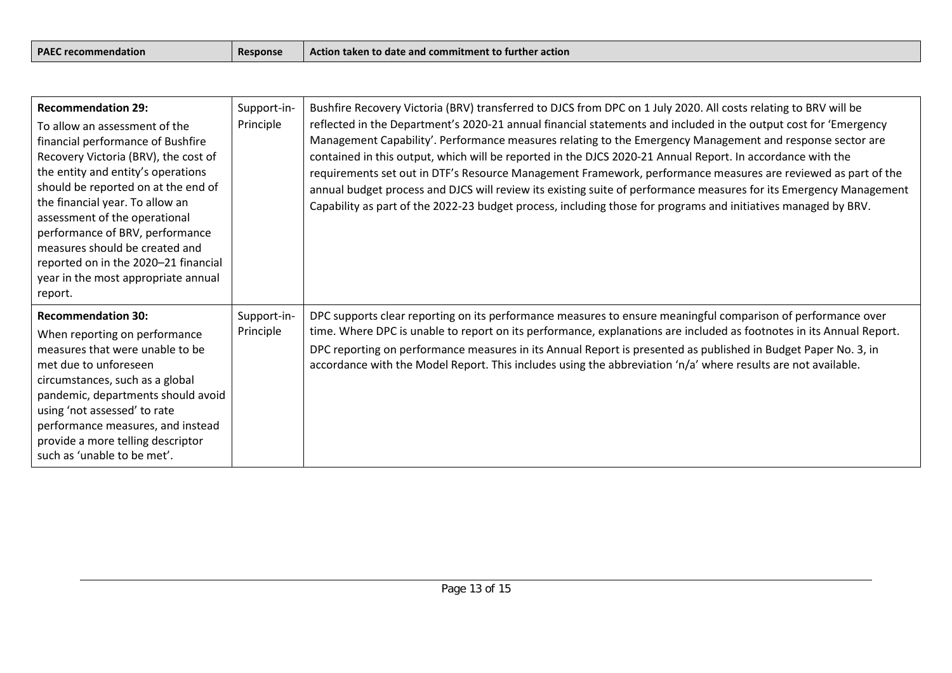| <b>PAEC recommendation</b> |  |
|----------------------------|--|
|----------------------------|--|

| <b>Recommendation 29:</b><br>To allow an assessment of the<br>financial performance of Bushfire<br>Recovery Victoria (BRV), the cost of<br>the entity and entity's operations<br>should be reported on at the end of<br>the financial year. To allow an<br>assessment of the operational<br>performance of BRV, performance<br>measures should be created and<br>reported on in the 2020-21 financial<br>year in the most appropriate annual<br>report. | Support-in-<br>Principle | Bushfire Recovery Victoria (BRV) transferred to DJCS from DPC on 1 July 2020. All costs relating to BRV will be<br>reflected in the Department's 2020-21 annual financial statements and included in the output cost for 'Emergency<br>Management Capability'. Performance measures relating to the Emergency Management and response sector are<br>contained in this output, which will be reported in the DJCS 2020-21 Annual Report. In accordance with the<br>requirements set out in DTF's Resource Management Framework, performance measures are reviewed as part of the<br>annual budget process and DJCS will review its existing suite of performance measures for its Emergency Management<br>Capability as part of the 2022-23 budget process, including those for programs and initiatives managed by BRV. |
|---------------------------------------------------------------------------------------------------------------------------------------------------------------------------------------------------------------------------------------------------------------------------------------------------------------------------------------------------------------------------------------------------------------------------------------------------------|--------------------------|-------------------------------------------------------------------------------------------------------------------------------------------------------------------------------------------------------------------------------------------------------------------------------------------------------------------------------------------------------------------------------------------------------------------------------------------------------------------------------------------------------------------------------------------------------------------------------------------------------------------------------------------------------------------------------------------------------------------------------------------------------------------------------------------------------------------------|
| <b>Recommendation 30:</b><br>When reporting on performance<br>measures that were unable to be<br>met due to unforeseen<br>circumstances, such as a global<br>pandemic, departments should avoid<br>using 'not assessed' to rate<br>performance measures, and instead<br>provide a more telling descriptor<br>such as 'unable to be met'.                                                                                                                | Support-in-<br>Principle | DPC supports clear reporting on its performance measures to ensure meaningful comparison of performance over<br>time. Where DPC is unable to report on its performance, explanations are included as footnotes in its Annual Report.<br>DPC reporting on performance measures in its Annual Report is presented as published in Budget Paper No. 3, in<br>accordance with the Model Report. This includes using the abbreviation 'n/a' where results are not available.                                                                                                                                                                                                                                                                                                                                                 |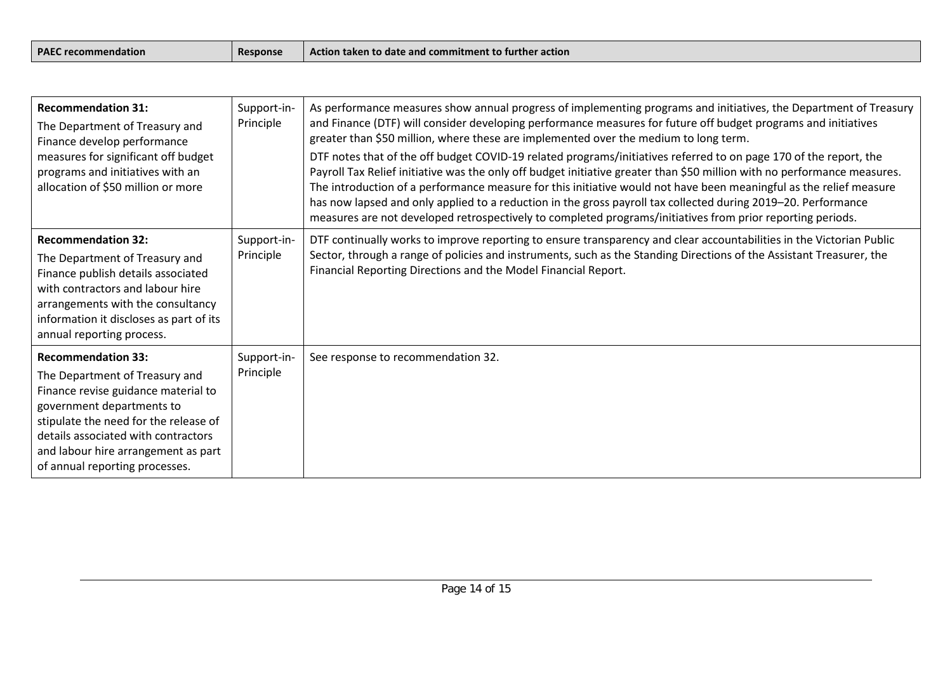| <b>PAE</b><br><b>Response</b><br>recommendation | $ -$<br>I commitment to furth<br>her action<br>Action taken to date a<br>and |
|-------------------------------------------------|------------------------------------------------------------------------------|
|-------------------------------------------------|------------------------------------------------------------------------------|

| <b>Recommendation 31:</b><br>The Department of Treasury and<br>Finance develop performance<br>measures for significant off budget<br>programs and initiatives with an<br>allocation of \$50 million or more                                                                              | Support-in-<br>Principle | As performance measures show annual progress of implementing programs and initiatives, the Department of Treasury<br>and Finance (DTF) will consider developing performance measures for future off budget programs and initiatives<br>greater than \$50 million, where these are implemented over the medium to long term.<br>DTF notes that of the off budget COVID-19 related programs/initiatives referred to on page 170 of the report, the<br>Payroll Tax Relief initiative was the only off budget initiative greater than \$50 million with no performance measures.<br>The introduction of a performance measure for this initiative would not have been meaningful as the relief measure<br>has now lapsed and only applied to a reduction in the gross payroll tax collected during 2019-20. Performance<br>measures are not developed retrospectively to completed programs/initiatives from prior reporting periods. |
|------------------------------------------------------------------------------------------------------------------------------------------------------------------------------------------------------------------------------------------------------------------------------------------|--------------------------|-----------------------------------------------------------------------------------------------------------------------------------------------------------------------------------------------------------------------------------------------------------------------------------------------------------------------------------------------------------------------------------------------------------------------------------------------------------------------------------------------------------------------------------------------------------------------------------------------------------------------------------------------------------------------------------------------------------------------------------------------------------------------------------------------------------------------------------------------------------------------------------------------------------------------------------|
| <b>Recommendation 32:</b><br>The Department of Treasury and<br>Finance publish details associated<br>with contractors and labour hire<br>arrangements with the consultancy<br>information it discloses as part of its<br>annual reporting process.                                       | Support-in-<br>Principle | DTF continually works to improve reporting to ensure transparency and clear accountabilities in the Victorian Public<br>Sector, through a range of policies and instruments, such as the Standing Directions of the Assistant Treasurer, the<br>Financial Reporting Directions and the Model Financial Report.                                                                                                                                                                                                                                                                                                                                                                                                                                                                                                                                                                                                                    |
| <b>Recommendation 33:</b><br>The Department of Treasury and<br>Finance revise guidance material to<br>government departments to<br>stipulate the need for the release of<br>details associated with contractors<br>and labour hire arrangement as part<br>of annual reporting processes. | Support-in-<br>Principle | See response to recommendation 32.                                                                                                                                                                                                                                                                                                                                                                                                                                                                                                                                                                                                                                                                                                                                                                                                                                                                                                |